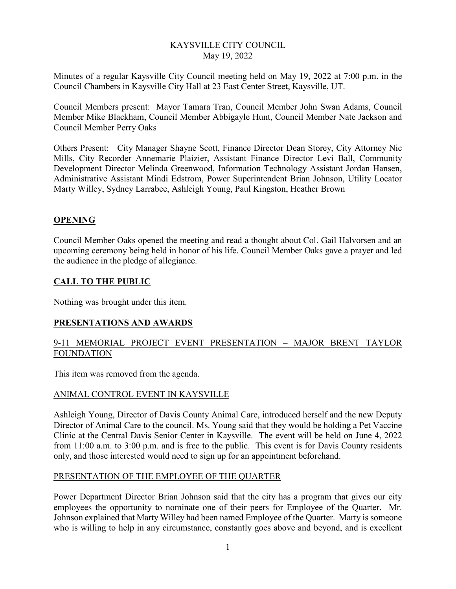#### KAYSVILLE CITY COUNCIL May 19, 2022

Minutes of a regular Kaysville City Council meeting held on May 19, 2022 at 7:00 p.m. in the Council Chambers in Kaysville City Hall at 23 East Center Street, Kaysville, UT.

Council Members present: Mayor Tamara Tran, Council Member John Swan Adams, Council Member Mike Blackham, Council Member Abbigayle Hunt, Council Member Nate Jackson and Council Member Perry Oaks

Others Present: City Manager Shayne Scott, Finance Director Dean Storey, City Attorney Nic Mills, City Recorder Annemarie Plaizier, Assistant Finance Director Levi Ball, Community Development Director Melinda Greenwood, Information Technology Assistant Jordan Hansen, Administrative Assistant Mindi Edstrom, Power Superintendent Brian Johnson, Utility Locator Marty Willey, Sydney Larrabee, Ashleigh Young, Paul Kingston, Heather Brown

#### **OPENING**

Council Member Oaks opened the meeting and read a thought about Col. Gail Halvorsen and an upcoming ceremony being held in honor of his life. Council Member Oaks gave a prayer and led the audience in the pledge of allegiance.

#### **CALL TO THE PUBLIC**

Nothing was brought under this item.

#### **PRESENTATIONS AND AWARDS**

## 9-11 MEMORIAL PROJECT EVENT PRESENTATION – MAJOR BRENT TAYLOR FOUNDATION

This item was removed from the agenda.

#### ANIMAL CONTROL EVENT IN KAYSVILLE

Ashleigh Young, Director of Davis County Animal Care, introduced herself and the new Deputy Director of Animal Care to the council. Ms. Young said that they would be holding a Pet Vaccine Clinic at the Central Davis Senior Center in Kaysville. The event will be held on June 4, 2022 from 11:00 a.m. to 3:00 p.m. and is free to the public. This event is for Davis County residents only, and those interested would need to sign up for an appointment beforehand.

#### PRESENTATION OF THE EMPLOYEE OF THE QUARTER

Power Department Director Brian Johnson said that the city has a program that gives our city employees the opportunity to nominate one of their peers for Employee of the Quarter. Mr. Johnson explained that Marty Willey had been named Employee of the Quarter. Marty is someone who is willing to help in any circumstance, constantly goes above and beyond, and is excellent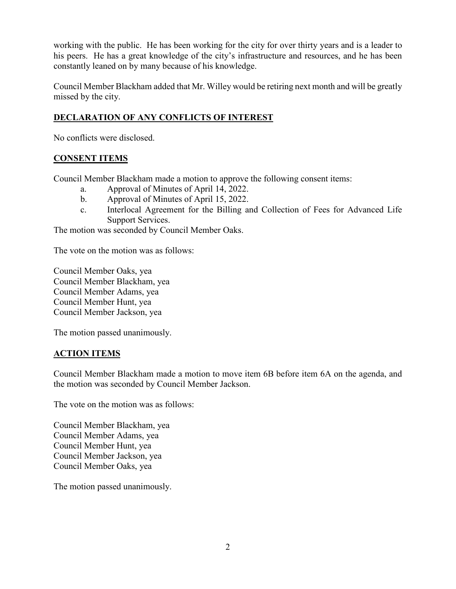working with the public. He has been working for the city for over thirty years and is a leader to his peers. He has a great knowledge of the city's infrastructure and resources, and he has been constantly leaned on by many because of his knowledge.

Council Member Blackham added that Mr. Willey would be retiring next month and will be greatly missed by the city.

# **DECLARATION OF ANY CONFLICTS OF INTEREST**

No conflicts were disclosed.

## **CONSENT ITEMS**

Council Member Blackham made a motion to approve the following consent items:

- a. Approval of Minutes of April 14, 2022.
- b. Approval of Minutes of April 15, 2022.
- c. Interlocal Agreement for the Billing and Collection of Fees for Advanced Life Support Services.

The motion was seconded by Council Member Oaks.

The vote on the motion was as follows:

Council Member Oaks, yea Council Member Blackham, yea Council Member Adams, yea Council Member Hunt, yea Council Member Jackson, yea

The motion passed unanimously.

#### **ACTION ITEMS**

Council Member Blackham made a motion to move item 6B before item 6A on the agenda, and the motion was seconded by Council Member Jackson.

The vote on the motion was as follows:

Council Member Blackham, yea Council Member Adams, yea Council Member Hunt, yea Council Member Jackson, yea Council Member Oaks, yea

The motion passed unanimously.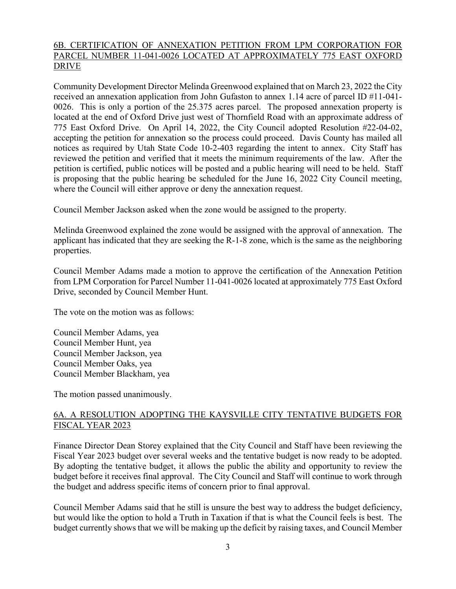## 6B. CERTIFICATION OF ANNEXATION PETITION FROM LPM CORPORATION FOR PARCEL NUMBER 11-041-0026 LOCATED AT APPROXIMATELY 775 EAST OXFORD DRIVE

Community Development Director Melinda Greenwood explained that on March 23, 2022 the City received an annexation application from John Gufaston to annex 1.14 acre of parcel ID #11-041- 0026. This is only a portion of the 25.375 acres parcel. The proposed annexation property is located at the end of Oxford Drive just west of Thornfield Road with an approximate address of 775 East Oxford Drive. On April 14, 2022, the City Council adopted Resolution #22-04-02, accepting the petition for annexation so the process could proceed. Davis County has mailed all notices as required by Utah State Code 10-2-403 regarding the intent to annex. City Staff has reviewed the petition and verified that it meets the minimum requirements of the law. After the petition is certified, public notices will be posted and a public hearing will need to be held. Staff is proposing that the public hearing be scheduled for the June 16, 2022 City Council meeting, where the Council will either approve or deny the annexation request.

Council Member Jackson asked when the zone would be assigned to the property.

Melinda Greenwood explained the zone would be assigned with the approval of annexation. The applicant has indicated that they are seeking the R-1-8 zone, which is the same as the neighboring properties.

Council Member Adams made a motion to approve the certification of the Annexation Petition from LPM Corporation for Parcel Number 11-041-0026 located at approximately 775 East Oxford Drive, seconded by Council Member Hunt.

The vote on the motion was as follows:

Council Member Adams, yea Council Member Hunt, yea Council Member Jackson, yea Council Member Oaks, yea Council Member Blackham, yea

The motion passed unanimously.

## 6A. A RESOLUTION ADOPTING THE KAYSVILLE CITY TENTATIVE BUDGETS FOR FISCAL YEAR 2023

Finance Director Dean Storey explained that the City Council and Staff have been reviewing the Fiscal Year 2023 budget over several weeks and the tentative budget is now ready to be adopted. By adopting the tentative budget, it allows the public the ability and opportunity to review the budget before it receives final approval. The City Council and Staff will continue to work through the budget and address specific items of concern prior to final approval.

Council Member Adams said that he still is unsure the best way to address the budget deficiency, but would like the option to hold a Truth in Taxation if that is what the Council feels is best. The budget currently shows that we will be making up the deficit by raising taxes, and Council Member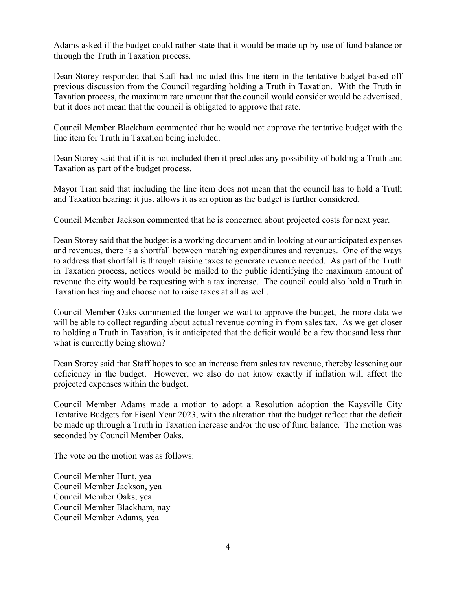Adams asked if the budget could rather state that it would be made up by use of fund balance or through the Truth in Taxation process.

Dean Storey responded that Staff had included this line item in the tentative budget based off previous discussion from the Council regarding holding a Truth in Taxation. With the Truth in Taxation process, the maximum rate amount that the council would consider would be advertised, but it does not mean that the council is obligated to approve that rate.

Council Member Blackham commented that he would not approve the tentative budget with the line item for Truth in Taxation being included.

Dean Storey said that if it is not included then it precludes any possibility of holding a Truth and Taxation as part of the budget process.

Mayor Tran said that including the line item does not mean that the council has to hold a Truth and Taxation hearing; it just allows it as an option as the budget is further considered.

Council Member Jackson commented that he is concerned about projected costs for next year.

Dean Storey said that the budget is a working document and in looking at our anticipated expenses and revenues, there is a shortfall between matching expenditures and revenues. One of the ways to address that shortfall is through raising taxes to generate revenue needed. As part of the Truth in Taxation process, notices would be mailed to the public identifying the maximum amount of revenue the city would be requesting with a tax increase. The council could also hold a Truth in Taxation hearing and choose not to raise taxes at all as well.

Council Member Oaks commented the longer we wait to approve the budget, the more data we will be able to collect regarding about actual revenue coming in from sales tax. As we get closer to holding a Truth in Taxation, is it anticipated that the deficit would be a few thousand less than what is currently being shown?

Dean Storey said that Staff hopes to see an increase from sales tax revenue, thereby lessening our deficiency in the budget. However, we also do not know exactly if inflation will affect the projected expenses within the budget.

Council Member Adams made a motion to adopt a Resolution adoption the Kaysville City Tentative Budgets for Fiscal Year 2023, with the alteration that the budget reflect that the deficit be made up through a Truth in Taxation increase and/or the use of fund balance. The motion was seconded by Council Member Oaks.

The vote on the motion was as follows:

Council Member Hunt, yea Council Member Jackson, yea Council Member Oaks, yea Council Member Blackham, nay Council Member Adams, yea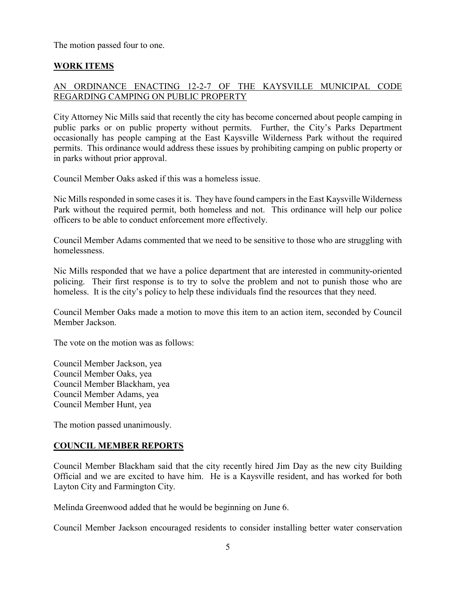The motion passed four to one.

# **WORK ITEMS**

# AN ORDINANCE ENACTING 12-2-7 OF THE KAYSVILLE MUNICIPAL CODE REGARDING CAMPING ON PUBLIC PROPERTY

City Attorney Nic Mills said that recently the city has become concerned about people camping in public parks or on public property without permits. Further, the City's Parks Department occasionally has people camping at the East Kaysville Wilderness Park without the required permits. This ordinance would address these issues by prohibiting camping on public property or in parks without prior approval.

Council Member Oaks asked if this was a homeless issue.

Nic Mills responded in some cases it is. They have found campersin the East Kaysville Wilderness Park without the required permit, both homeless and not. This ordinance will help our police officers to be able to conduct enforcement more effectively.

Council Member Adams commented that we need to be sensitive to those who are struggling with homelessness.

Nic Mills responded that we have a police department that are interested in community-oriented policing. Their first response is to try to solve the problem and not to punish those who are homeless. It is the city's policy to help these individuals find the resources that they need.

Council Member Oaks made a motion to move this item to an action item, seconded by Council Member Jackson.

The vote on the motion was as follows:

Council Member Jackson, yea Council Member Oaks, yea Council Member Blackham, yea Council Member Adams, yea Council Member Hunt, yea

The motion passed unanimously.

## **COUNCIL MEMBER REPORTS**

Council Member Blackham said that the city recently hired Jim Day as the new city Building Official and we are excited to have him. He is a Kaysville resident, and has worked for both Layton City and Farmington City.

Melinda Greenwood added that he would be beginning on June 6.

Council Member Jackson encouraged residents to consider installing better water conservation